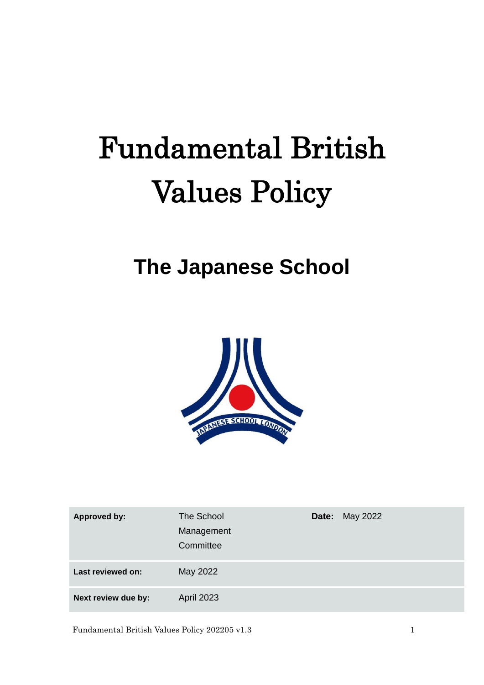# Fundamental British Values Policy

## **The Japanese School**



| <b>Approved by:</b> | The School<br>Management<br>Committee | <b>Date:</b> May 2022 |
|---------------------|---------------------------------------|-----------------------|
| Last reviewed on:   | May 2022                              |                       |
| Next review due by: | <b>April 2023</b>                     |                       |

Fundamental British Values Policy 202205 v1.3 1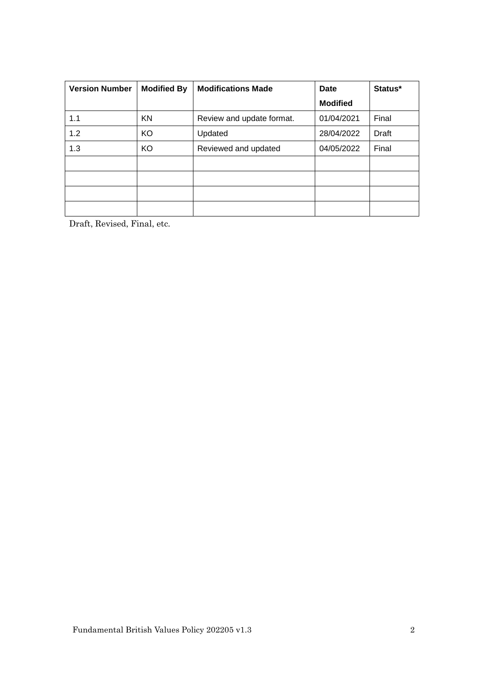| <b>Version Number</b> | <b>Modified By</b> | <b>Modifications Made</b> | Date            | Status* |
|-----------------------|--------------------|---------------------------|-----------------|---------|
|                       |                    |                           | <b>Modified</b> |         |
| 1.1                   | KN                 | Review and update format. | 01/04/2021      | Final   |
| 1.2                   | KO                 | Updated                   | 28/04/2022      | Draft   |
| 1.3                   | KO                 | Reviewed and updated      | 04/05/2022      | Final   |
|                       |                    |                           |                 |         |
|                       |                    |                           |                 |         |
|                       |                    |                           |                 |         |
|                       |                    |                           |                 |         |

Draft, Revised, Final, etc.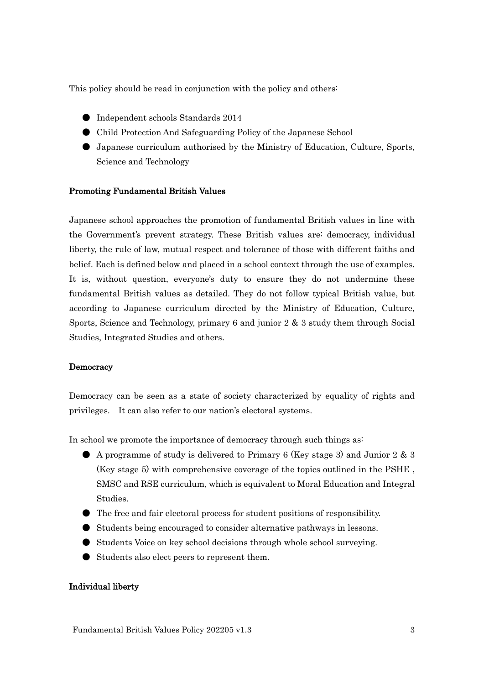This policy should be read in conjunction with the policy and others:

- Independent schools Standards 2014
- Child Protection And Safeguarding Policy of the Japanese School
- Japanese curriculum authorised by the Ministry of Education, Culture, Sports, Science and Technology

#### Promoting Fundamental British Values

Japanese school approaches the promotion of fundamental British values in line with the Government's prevent strategy. These British values are: democracy, individual liberty, the rule of law, mutual respect and tolerance of those with different faiths and belief. Each is defined below and placed in a school context through the use of examples. It is, without question, everyone's duty to ensure they do not undermine these fundamental British values as detailed. They do not follow typical British value, but according to Japanese curriculum directed by the Ministry of Education, Culture, Sports, Science and Technology, primary 6 and junior 2 & 3 study them through Social Studies, Integrated Studies and others.

#### **Democracy**

Democracy can be seen as a state of society characterized by equality of rights and privileges. It can also refer to our nation's electoral systems.

In school we promote the importance of democracy through such things as:

- A programme of study is delivered to Primary 6 (Key stage 3) and Junior 2 & 3 (Key stage 5) with comprehensive coverage of the topics outlined in the PSHE , SMSC and RSE curriculum, which is equivalent to Moral Education and Integral Studies.
- The free and fair electoral process for student positions of responsibility.
- Students being encouraged to consider alternative pathways in lessons.
- Students Voice on key school decisions through whole school surveying.
- Students also elect peers to represent them.

#### Individual liberty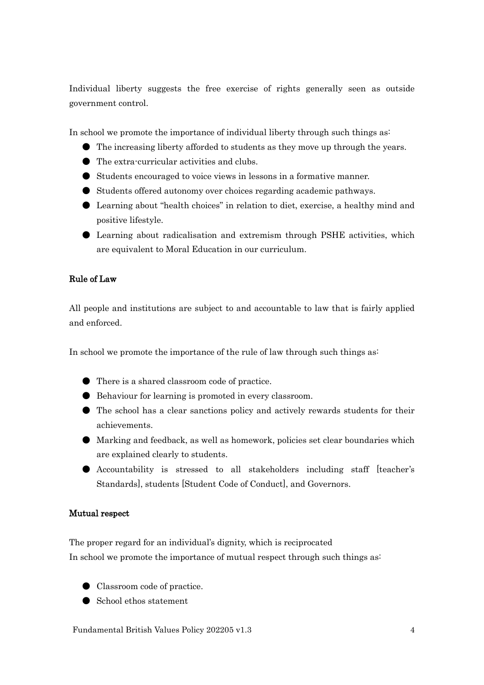Individual liberty suggests the free exercise of rights generally seen as outside government control.

In school we promote the importance of individual liberty through such things as:

- The increasing liberty afforded to students as they move up through the years.
- The extra-curricular activities and clubs.
- Students encouraged to voice views in lessons in a formative manner.
- Students offered autonomy over choices regarding academic pathways.
- Learning about "health choices" in relation to diet, exercise, a healthy mind and positive lifestyle.
- Learning about radicalisation and extremism through PSHE activities, which are equivalent to Moral Education in our curriculum.

### Rule of Law

All people and institutions are subject to and accountable to law that is fairly applied and enforced.

In school we promote the importance of the rule of law through such things as:

- There is a shared classroom code of practice.
- Behaviour for learning is promoted in every classroom.
- The school has a clear sanctions policy and actively rewards students for their achievements.
- Marking and feedback, as well as homework, policies set clear boundaries which are explained clearly to students.
- Accountability is stressed to all stakeholders including staff [teacher's Standards], students [Student Code of Conduct], and Governors.

#### Mutual respect

The proper regard for an individual's dignity, which is reciprocated In school we promote the importance of mutual respect through such things as:

- Classroom code of practice.
- School ethos statement

Fundamental British Values Policy 202205 v1.3 4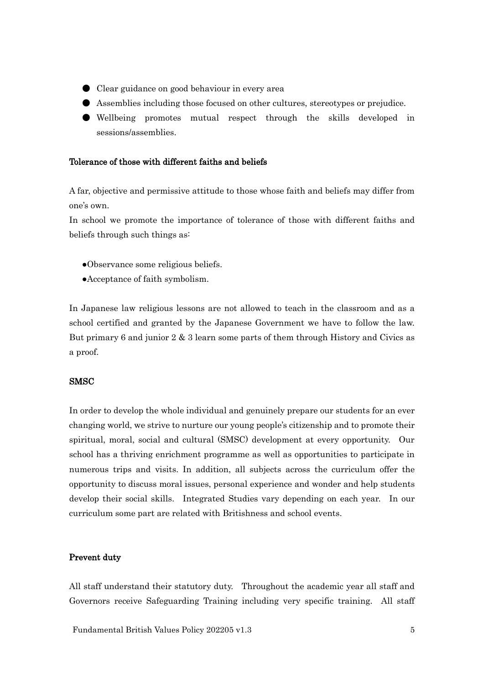- Clear guidance on good behaviour in every area
- Assemblies including those focused on other cultures, stereotypes or prejudice.
- Wellbeing promotes mutual respect through the skills developed in sessions/assemblies.

#### Tolerance of those with different faiths and beliefs

A far, objective and permissive attitude to those whose faith and beliefs may differ from one's own.

In school we promote the importance of tolerance of those with different faiths and beliefs through such things as:

- ●Observance some religious beliefs.
- ●Acceptance of faith symbolism.

In Japanese law religious lessons are not allowed to teach in the classroom and as a school certified and granted by the Japanese Government we have to follow the law. But primary 6 and junior 2 & 3 learn some parts of them through History and Civics as a proof.

#### **SMSC**

In order to develop the whole individual and genuinely prepare our students for an ever changing world, we strive to nurture our young people's citizenship and to promote their spiritual, moral, social and cultural (SMSC) development at every opportunity. Our school has a thriving enrichment programme as well as opportunities to participate in numerous trips and visits. In addition, all subjects across the curriculum offer the opportunity to discuss moral issues, personal experience and wonder and help students develop their social skills. Integrated Studies vary depending on each year. In our curriculum some part are related with Britishness and school events.

#### Prevent duty

All staff understand their statutory duty. Throughout the academic year all staff and Governors receive Safeguarding Training including very specific training. All staff

Fundamental British Values Policy 202205 v1.3 5